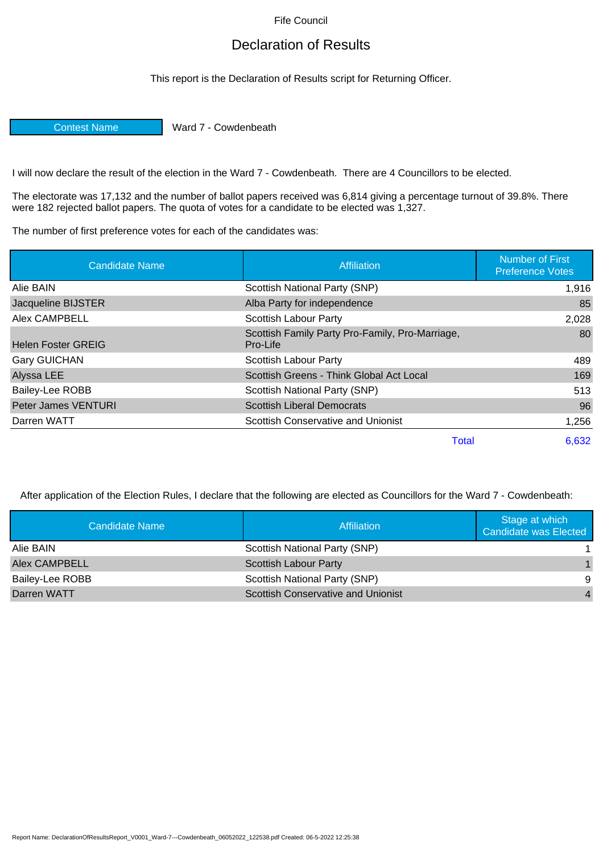Fife Council

## Declaration of Results

This report is the Declaration of Results script for Returning Officer.

Contest Name Ward 7 - Cowdenbeath

I will now declare the result of the election in the Ward 7 - Cowdenbeath. There are 4 Councillors to be elected.

The electorate was 17,132 and the number of ballot papers received was 6,814 giving a percentage turnout of 39.8%. There were 182 rejected ballot papers. The quota of votes for a candidate to be elected was 1,327.

The number of first preference votes for each of the candidates was:

| <b>Candidate Name</b>     | <b>Affiliation</b>                                          | <b>Number of First</b><br><b>Preference Votes</b> |
|---------------------------|-------------------------------------------------------------|---------------------------------------------------|
| Alie BAIN                 | Scottish National Party (SNP)                               | 1,916                                             |
| Jacqueline BIJSTER        | Alba Party for independence                                 | 85                                                |
| Alex CAMPBELL             | <b>Scottish Labour Party</b>                                | 2,028                                             |
| <b>Helen Foster GREIG</b> | Scottish Family Party Pro-Family, Pro-Marriage,<br>Pro-Life | 80                                                |
| <b>Gary GUICHAN</b>       | Scottish Labour Party                                       | 489                                               |
| Alyssa LEE                | Scottish Greens - Think Global Act Local                    | 169                                               |
| Bailey-Lee ROBB           | Scottish National Party (SNP)                               | 513                                               |
| Peter James VENTURI       | <b>Scottish Liberal Democrats</b>                           | 96                                                |
| Darren WATT               | <b>Scottish Conservative and Unionist</b>                   | 1,256                                             |
|                           | Total                                                       | 6,632                                             |

After application of the Election Rules, I declare that the following are elected as Councillors for the Ward 7 - Cowdenbeath:

| Candidate Name  | Affiliation                               | Stage at which<br>Candidate was Elected |
|-----------------|-------------------------------------------|-----------------------------------------|
| Alie BAIN       | Scottish National Party (SNP)             |                                         |
| Alex CAMPBELL   | <b>Scottish Labour Party</b>              |                                         |
| Bailey-Lee ROBB | Scottish National Party (SNP)             | -9                                      |
| Darren WATT     | <b>Scottish Conservative and Unionist</b> | $\overline{4}$                          |